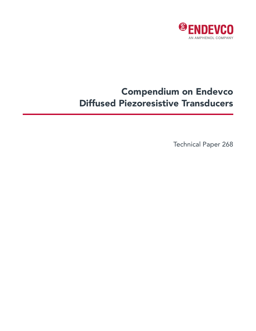

# Compendium on Endevco Diffused Piezoresistive Transducers

Technical Paper 268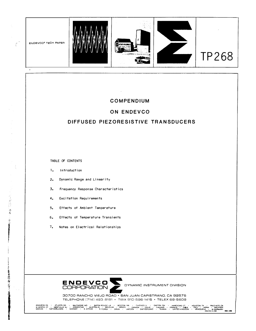

# **COMPENDIUM**

# **ON ENDEVCO**

# **DIFFUSED PIEZORESISTIVE TRANSDUCERS**

TABLE OF CONTENTS

 $\int_{0}^{\infty}$ 

- 「近日定位」「帯を上るるを

三年を出版社の第二十五年の日本

 $\zeta = 1$ 

- 1. Introduction
- 2. Dynamic Range and Linearity
- 3. Frequency Response Characteristics
- 4. Excitation Requirements
- 5. Effects of Ambient Temperature
- 6. Effects of Temperature Transients
- 7. Notes on Electrical Relationships



30700 RANCHO VIEJO ROAD • SAN JUAN CAPISTRANO, CA 82675 TELEPHONE [714] 493 8181 • TWX 910·596-1415 • TELEX 68-5608

ANAHEIM. CA • ATl.ANTA. GA • BALTIMORE. MD • BATON ROUGE, LA • BOSTON 'IAA • CHICAGO. IL • DAYTON, OH • HARTFORO CT • HOUSTON TX • PALO ALTO. CA W MYSTIC, CT • **WISTVILLE** NJ • ARGENTINA • AUST'AALIA • BELGIUM • BRAZIL • CANADA • CHILE • FINLAND • FRANCE • INDIA • ITALY • JAPAN • MALAYSIA MEXICO • NETHEJILANDS • NORWAY • S AFRICA • S KQReA • \$PAIN • SWEOEN • \$WIT4ERLANO • TAIWAN • UNITED t<JNGDOM • VENEZUELA • W GEfU..tANY **PRINTED IN US.-. REV, 2112**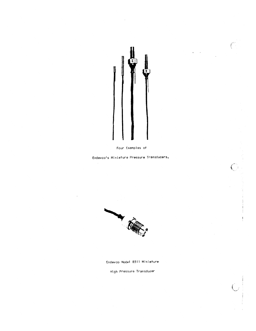

 $\mathcal{L}^{\mathcal{L}}$ 

Four Examples of

Endevco's Miniature Pressure Transducers.



Endevco Model 8511 Miniature

High Pressure Transducer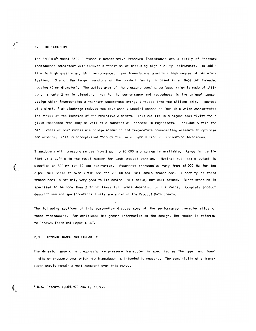### 1.0 INTRODUCTION

فسيمج

 $\left($ 

The ENDEVCO® Model 8500 Diffused Piezoresistive Pressure Transducers are a family of Pressure Transducers consistent with Endevco's tradition of producing high quality instruments. In addition to high quality and high performance, these transducers provide a high degree of miniaturization. One of the larger versions of the product family is cased in a 10-32 UNF threaded housing (5 mm diameter). The active area of the pressure sensing surface, which is made of silicon, is only 2 mm in diameter. Key to the performance and ruggedness is the unique\* sensor design which incorporates a four-arm Wheatstone bridge diffused into the silicon chip. Instead of a simple flat diaphragm Endevco has developed a special shaped silicon chip which concentrates the stress at the location of the resistive elements. This results in a higher sensitivity for a given resonance frequency as well as a substantial increase in ruggedness. Included within the small cases of most models are bridge balancing and temperature compensating elements to optimize performance. This is accomplished through the use of hybrid circuit fabrication techniques.

Transducers with pressure ranges from 2 psi to 20 000 are currently available. Range is identified by a suffix to the model number for each product version. Nominal full scale output is specfied as 300 mV for 10 Vdc excitation. Resonance frequencies vary from 45 000 Hz for the 2 psi full scale to over 1 MHz for the 20 000 psi full scale transducer. Linearity of these transducers is not only very good to its nominal full scale, but well beyond. Burst pressure is specified to be more than 3 to 20 times full scale depending on the range. Complete product descriptions and specifications limits are shown on the Product Data Sheets.

The following sections of this compendium discuss some of the performance characteristics of these transducers. For additional background information on the design, the reader is referred to Endevco Technical Paper TP267.

#### DYNAMIC RANGE AND LINEARITY  $2.0$

The dynamic range of a piezoresistive pressure transducer is specified as the upper and lower limits of pressure over which the transducer is intended to measure. The sensitivity of a transducer should remain almost constant over this range.

\* U.S. Patents 4,065,970 and 4,033,933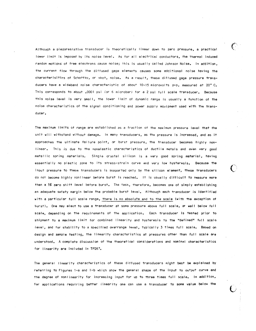Although a piezoresistive transducer is theoretically linear down to zero pressure, a practical lower limit is imposed by its noise level. As for all electrical conductors, the thermal induced random motions of free electrons cause noise; this is usually called Johnson Noise. In addition, the current flow through the diffused gage elements causes some additional noise having the characterisitics of Schottky, or shot, noise. As a result, these diffused gage pressure transducers have a wideband noise characteristic of about 10-15 microvolts p-p, measured at 20° C. This corresponds to about .0001 psi (or 6 microbar) for a 2 psi full scale transducer. Because this noise level is very small, the lower limit of dynamic range is usually a function of the noise characteristics of the signal conditioning and power supply equipment used with the transducer.

The maximum limits of range are established as a fraction of the maximum pressure level that the unit will withstand without damage. In many transducers, as the pressure is increased, and as it approaches the ultimate failure point, or burst pressure, the transducer becomes highly nonlinear. This is due to the nonelastic characteristics of ductile metals and even very good metallic spring materials. Single crystal silicon is a very good spring material, having essentially no plastic zone to its stress-strain curve and very low hysteresis. Because the input pressure to these transducers is supported only by the silicon element, these transducers do not become highly nonlinear before burst is reached. It is usually difficult to measure more than a 5% zero shift level before burst. The task, therefore, becomes one of simply establishing an adequate safety margin below the probable burst level. Although each transducer is identified with a particular full scale range, there is no absolute end to the scale (with the exception of burst). One may elect to use a transducer at some pressure above full scale, or well below full scale, depending on the requirements of the application. Each transducer is tested prior to shipment to a maximum limit for combined linearity and hysteresis to the "defined" full scale level, and for stability to a specified overrange level, typically 3 times full scale. Based on design and sample testing, the linearity characteristics at pressures other than full scale are understood. A complete discussion of the theoretical considerations and nominal characteristics for linearity are included in TP267.

The general linearity characteristics of these diffused transducers might best be explained by referring to Figures 1-a and 1-b which show the general shape of the input to output curve and the degree of nonlinearity for increasing input for up to three times full scale. In addition, for applications requiring better linearity one can use a transducer to some value below the

્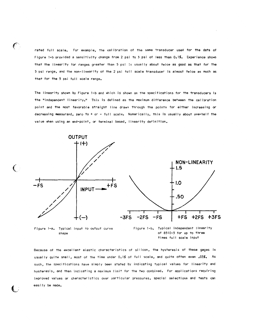rated full scale. For example, the calibration of the same transducer used for the data of Figure 1-b provided a sensitivity change from 2 psi to 3 psi of less than 0.1%. Experience shows that the linearity for ranges greater than 5 psi is usually about twice as good as that for the 5 psi range, and the non-linearity of the 2 psi full scale transducer is almost twice as much as that for the 5 psi full scale range.

The linearity shown by Figure 1-b and which is shown on the specifications for the transducers is the "independent linearity." This is defined as the maximum difference between the calibration point and the most favorable straight line drawn through the points for either increasing or decreasing measurand, zero to + or - full scale. Numerically, this is usually about one-half the value when using an end-point, or terminal based, linearity definition.



shape

 $\epsilon$ 

 $\left($ 

of 8510-5 for up to three times full scale input

Because of the excellent elastic characteristics of silicon, the hysteresis of these gages is usually quite small, most of the time under 0.1% of full scale, and quite often even .03%. As such, the specifications have simply been stated by indicating typical values for linearity and hysteresis, and then indicating a maximum limit for the two combined. For applications requiring improved values or characteristics over particular pressures, special selections and tests can easily be made.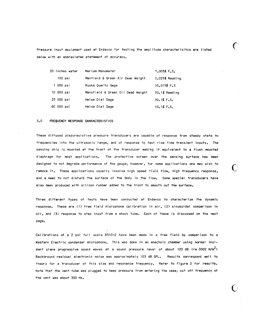Pressure input equipment used at Endevco for testing the amplitude characterisitcs are listed below with an abbreviated statement of accuracy.

É.

| 20 Inches water | Meriam Manometer                  | $±,005%$ F.S.       |
|-----------------|-----------------------------------|---------------------|
| $100$ $psi$     | Manfield & Green Air Dead Weight  | $\pm$ .025% Reading |
| 1 000 psi       | Ruska Quartz Gage                 | $±0.015%$ F.S       |
| 10 000 psi      | Mansfield & Green Oil Dead Weight | $\pm 0.1$ % Reading |
| 25 000 psi      | Heise Dial Gage                   | $±0.1%$ F.S.        |
| 60 000 psi      | Heise Dial Gage                   | $\pm 0.1$ % F.S.    |

#### $3.0$ FREQUENCY RESPONSE CHARACTERISTICS

These diffused piezoresistive pressure transducers are capable of response from steady state to frequencies into the ultrasonic range, and of response to fast rise time transient inputs. The sensing chip is mounted at the front of the transducer making it equivalent to a flush mounted diaphragm for most applications. The protective screen over the sensing surface has been designed to not degrade performance of the gauge; however, for some applications one may wish to remove it. These applications usually involve high speed fluid flow, high frequency response. and a need to not disturb the surface of the body in the flow. Some special transducers have also been produced with silicon rubber added to the front to smooth out the surface.

Three different types of tests have been conducted at Endevco to characterize the dynamic response. These are (1) free field microphone calibration in air, (2) sinusoidal comparison in oi!, and (3) response to step input from a shock tube. Each of these is discussed on the next page.

Calibrations of a 2 psi full scale 8510-2 have been made in a free field by comparison to a Western Electric condenser microphone. This was done in an anechoic chamber using normal incident plane progressive sound waves at a sound pressure level of about 120 dB (re 0002 N/m<sup>2</sup>) Backbround residual electronic noise was approximately 103 dB SPL. Results correspond well to theory for a transducer of this size and resonance frequency. Refer to Figure 2 for results. Note that the vent tube was plugged to keep pressure from entering the case; cut off frequency of the vent was about 300 Hz.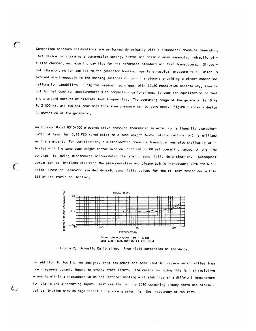Comparison pressure calibrations are performed dynamically with a sinusoidal pressure generator. This device incorporates a compression spring, piston and seismic mass assembly, hydraulic oilfilled chamber, and mounting cavities for the reference standard and test transducers. Sinusoidal vibratory motion applied to the generator housing imparts sinusoidal pressure to oil which is exposed simultaneously to the sensing surfaces of both transducers providing a direct comparison calibration capability. A digital readout technique, with  $\pm 0.2\%$  resolution uncertainty, identical to that used for accelerometer sine comparison calibrations, is used for equalization of test and standard outputs at discrete test frequencies. The operating range of the generator is 10 Hz to 2 000 Hz, and 300 psi peak magnitude sine pressure can be developed. Figure 3 shows a design illustration of the generator.

An Endevco Model 8510-500 piezoresistive pressure transducer selected for a linearity characteristic of less than 0.1% FSO (predicated on a dead weight tester static calibration) is utilized as the standard. For verification, a piezoelectric pressure transducer was also statically calibrated with the same dead weight tester over an identical 0-500 psi operating range. A long time constant following electronics accommodated the static sensitivity determination. Subsequent comparison calibrations utilizing the piezoresistive and piezoelectric transducers with the Sinusoidal Pressure Generator yielded dynamic sensitivity values for the PE test transducer within ±1% of its static calibration.

 $\left($ 



Solid Line - data, IIO -120 db SPL input

Figure 2. Acoustic Calibration. Free field perpendicular incidence.

In addition to testing new designs, this equipment has been used to compare sensitivities from low frequency dynamic inputs to steady state inputs. The reason for doing this is that resistive elements within a transducer which has internal heating will stabilize at a different temperature for static and alternating input. Test results for the 8510 comparing steady state and sinusoidal calibration show no significant difference greater than the inaccuracy of the test.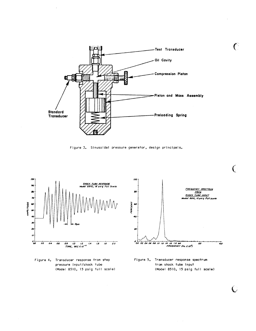

Figure 3. Sinusoidal pressure generator, design principals.



Figure 4. Transducer response from step pressure input/shock tube (Model 8510, 15 psig full scale)





€

 $\overline{C}$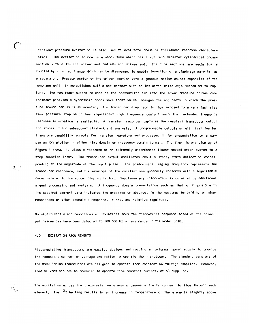Transient pressure excitation is also used to evalutate pressure transducer response characteristics. The excitation source is a shock tube which has a 2.5 inch diameter cylindrical crosssection with a 15-inch driver end and 60-inch driven end. The tube sections are mechanically coupled by a bolted flange which can be disengaged to enable insertion of a diaphragm material as a separator. Pressurization of the driver section with a gaseous medium causes expansion of the membrane until it establishes sufficient contact with an implanted knife-edge mechanism to rupture. The resultant sudden release of the pressurized air into the lower pressure driven compartment produces a hypersonic shock wave front which impinges the end plate in which the pressure transducer is flush mounted. The transducer diaphragm is thus exposed to a very fast rise time pressure step which has significant high frequency content such that extended frequency response information is available. A transient recorder captures the resulant transducer output and stores it for subsequent playback and analysis. A programmable calculator with fast fourier transform capability accepts the transient waveform and processes it for presentation on a companion X-Y plotter in either time domain or frequency domain format. The time history display of Figure 4 shows the classic response of an extremely underdamped linear second order system to a step function input. The transducer output oscillates about a steady-state deflection corresponding to the magnitude of the input pulse. The predominant ringing frequency represents the transducer resonance, and the envelope of the oscillations generally conforms with a logarithmic decay related to transducer damping factor. Supplementary information is obtained by additional signal processing and analysis. A frequency domain presentation such as that of Figure 5 with its spectral content data indicates the presence or absence, in the measured bandwidth, or minor resonances or other anomalous response, if any, and relative magnitude.

No significant minor resonances or deviations from the theoretical response based on the principat resonances have been detected to 100 000 Hz on any range of the Model 8510.

#### EXCITATION REQUIREMENTS  $4.0$

€

 $\hat{A}$  .

11

Piezoresistive transducers are passive devices and require an external power supply to provide the necessary current or voltage excitation to operate the transducer. The standard versions of the 8500 Series transducers are designed to operate from constant DC voltage supplies. However, special versions can be produced to operate from constant current, or AC supplies.

The excitation across the piezoresistive elements causes a finite current to flow through each element. The l<sup>2</sup>R heating results in an increase in temperature of the elements slightly above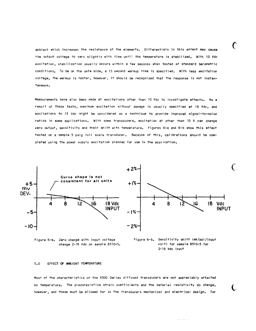ambient which increases the resistance of the elements. Differentials in this effect may cause the output voltage to vary slightly with time until the temperature is stabilized. With 10 Vdc excitation, stabilization usually occurs within a few seconds when tested at standard barometric conditions. To be on the safe side, a 15 second warmup time is specified. With less excitation voltage, the warmup is faster, however, it should be recognized that the response is not instantaneous.

Measurements have also been made at excitations other than 10 Vdc to investigate effects. As a result of these tests, maximum excitation without damage is usually specified at 18 Vdc. and excitations to 15 Vdc might be considered as a technique to provide improved signal-to-noise ratios in some applications. With some transducers, excitation at other than 10 V can change zero output, sensitivity and their shift with temperature. Figures 6-a and 6-b show this effect tested on a sample 5 psig full scale transducer. Because of this, calibrations should be completed using the power supply excitation planned for use in the application.







€

#### $5.0$ EFFECT OF AMBIENT TEMPERATURE

Most of the characteristics of the 8500 Series diffused transducers are not appreciably affected by temperature. The piezoresistive strain coefficients and the material resistivity do change, however, and these must be allowed for in the transducers mechanical and electrical design. For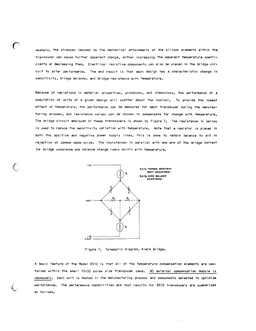example, the stresses imposed by the mechanical attachments of the silicon elements within the transducer can cause further apparent change, either increasing the apparent temperature coefficients or decreasing them. Electrical resistive components can also be placed in the bridge circuit to alter performance. The end result is that each design has a characteristic change in sensitivity, bridge balance, and bridge resistance with temperature.

€

Because of variations in material properties, processes, and dimensions, the performance of a population of units of a given design will scatter about the nominal. To provide the lowest effect of temperature, the performance can be measured for each transducer during the manufacturing process, and resistance values can be chosen to compensate for change with temperature. The bridge circuit employed in these transducers is shown by Figure 7. The resistance in series is used to reduce the sensitivity variation with temperature. Note that a resistor is placed in both the positive and negative power supply lines; this is done to retain balance to aid in rejection of common mode noise. The resistances in parallel with one arm of the bridge correct for bridge unbalance and balance change (zero shift) with temperature.



Figure 7. Schematic diagram, 4-arm bridge.

A basic feature of the Model 8510 is that all of the temperature compensation elements are contained within the small 10-32 screw size transducer case. NO external compensation module is necessary. Each unit is tested in the manufacturing process and components selected to optimize performance. The performance capabilities and test results for 8510 transducers are summarized as follows.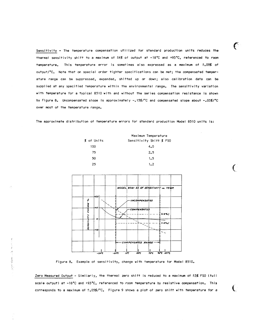Sensitivity - The temperature compensation utilized for standard production units reduces the thermal sensitivity shift to a maximum of ±4% of output at -18°C and +93°C, referenced to room This temperature error is sometimes also expressed as a maximum of ±.09% of temperature. output/°C. Note that on special order tighter specifications can be met; the compensated temperature range can be suppressed, expanded, shifted up or down; also calibration data can be supplied at any specified temperature within the environmental range. The sensitivity variation with temperature for a typical 8510 with and without the series compensation resistance is shown by Figure 8. Uncompensated slope is approximately -.15%/°C and compensated slope about -.03%/°C over most of the temperature range.

 $\epsilon$ 

€

€

The approximate distribution of temperature errors for standard production Model 8510 units is:

|            | Maximum Temperature     |  |  |  |
|------------|-------------------------|--|--|--|
| % of Units | Sensitivity Shift % FSO |  |  |  |
| 100        | 4.0                     |  |  |  |
| 75         | 2.5                     |  |  |  |
| 50         | 1.5                     |  |  |  |
| 25         | 1.7                     |  |  |  |



Figure 8. Example of sensitivity, change with temperature for Model 8510.

Zero Measured Output - Similarly, the thermal zero shift is reduced to a maximum of ±3% FSO (full scale output) at -18°C and +93°C, referenced to room temperature by resistive compensation. This corresponds to a maximum of  $\pm$ .05%/°C. Figure 9 shows a plot of zero shift with temperature for a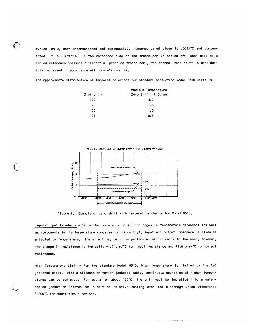typical 8510, both uncompensated and compensated. Uncompensated slope is .06%/°C and compensated, it is .015%/°C. If the reference side of the transducer is sealed off (when used as a sealed reference pressure differential pressure transducer), the thermal zero shift is considerably increased in accordance with Boyle's gas law.

The approximate distribution of temperature errors for standard production Model 8510 units is:

|            | Maximum Temperature<br>٠ |  |  |  |
|------------|--------------------------|--|--|--|
| % of Units | Zero Shift, % Output     |  |  |  |
| 100        | $3-0$                    |  |  |  |
| 75         | 1.5                      |  |  |  |
| 50         | 1.0                      |  |  |  |
| 25         | 0.5                      |  |  |  |



Figure 9. Example of zero shift with temperature change for Model 8510.

Input/Output Impedance - Since the resistance of silicon gages is temperature dependent (as well as components in the temperature compensation circuitry), input and output impedance is likewise affected by temperature. The effect may be of no particular significance to the user, however, the change in resistance is typically -1.7 ohm/°C for input resistance and +1.6 ohm/°C for output resistance.

High Temperature Limit - For the standard Model 8510, high temperature is limited by the PVC jacketed cable. With a silicone or teflon jacketed cable, continuous operation at higher temperatures can be achieved. For operation above 150°C, the unit must be installed into a watercooled jacket or Endevco can supply an ablative coating over the diaphragm which withstands 2 000°C for short time durations.

 $\bar{m}$  is a summer one.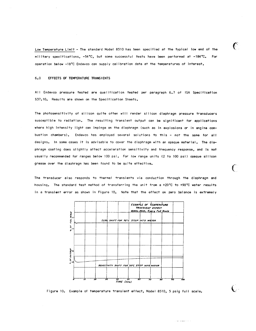Low Temperature Limit - The standard Model 8510 has been specified at the typical low end of the military specifications, -54°C, but some successful tests have been performed at -184°C. For operation below -18°C Endevco can supply calibration data at the temperatures of interest.

#### EFFECTS OF TEMPERATURE TRANSIENTS  $6.0$

All Endevco pressure tested are qualification tested per paragraph 6.7 of ISA Specification S37.10. Results are shown on the Specification Sheets.

The photosensitivity of silicon quite often will render silicon diaphragm pressure transducers susceptible to radiation. The resulting transient output can be significant for applications where high intensity light can impinge on the diaphragm (such as in explosions or in engine combustion chambers). Endevco has employed several solutions to this - not the same for all designs. In some cases it is advisable to cover the diaphragm with an opaque material. The diaphragm coating does slightly affect acceleration sensitivity and frequency response, and is not usually recommended for ranges below 100 psi. For low range units (2 to 100 psi) opaque silicon grease over the diaphragm has been found to be quite effective.

The transducer also responds to thermal transients via conduction through the diaphragm and housing. The standard test method of transferring the unit from a +20°C to +90°C water results in a transient error as shown in Figure 10. Note that the effect on zero balance is extremely



Figure 10. Example of temperature transient effect, Model 8510, 5 psig full scale.

.<br>The construction of the

€

€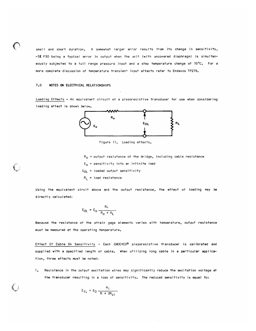small and short duration. A somewhat larger error results from its change in sensitivity, -5% FSO being a typical error in output when the unit (with uncovered diaphragm) is simultaneously subjected to a full range pressure input and a step temperature change of 70°C. For a more complete discussion of temperature transient input effects refer to Endevco TP279.

#### $7.0$ NOTES ON ELECTRICAL RELATIONSHIPS

Loading Effects - An equivalent circuit of a piezoresistive transducer for use when considering loading effect is shown below.



Figure 11. Loading effects.

 $R_0$  = output resistance of the bridge, including cable resistance

- $E_0$  = sensitivity into an infinite load
- $E_{01}$  = loaded output sensitivity
- $R_1$  = load resistance

Using the equivalent circit above and the output resistance, the effect of loading may be directly calculated:

$$
E_{OL} = E_O \frac{RL}{R_0 + R_1}
$$

Because the resistance of the strain gage elements varies with temperature, output resistance must be measured at the operating temperature.

Effect Of Cable On Sensitivity - Each ENDEVCO® piezoresistive transducer is calibrated and supplied with a specified length of cable. When utilizing long cable in a particular application, three effects must be noted:

Resistance in the output excitation wires may significantly reduce the excitation voltage at  $\mathbf{1}$ the transducer resulting in a loss of sensitivity. The reduced sensitivity is equal to:

$$
E_{IL} = E_0 \frac{R_i}{R + 2R_{ci}}
$$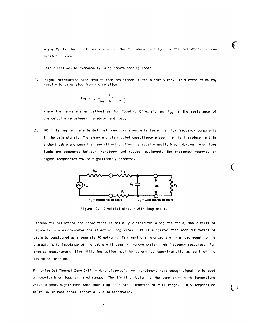where  $R_i$  is the input resistance of the transducer and  $R_{ci}$  is the resistance of one excitation wire.

This effect may be overcome by using remote sensing leads.

 $2.$ Signal attenuation also results from resistance in the output wires. This attenuation may readily be calculated from the relation:

$$
E_{OL} = E_0 \frac{R_L}{R_0 + R_L + 2R_{CO}}
$$

where the terms are as defined as for "Loading Effects", and R<sub>co</sub> is the resistance of one output wire between transducer and load.

 $3.$ RC filtering in the shielded instrument leads may attentuate the high frequency components in the data signal. The stray and distributed capacitance present in the transducer and in a short cable are such that any filtering effect is usually negligible. However, when long leads are connected between transducer and readout equipment, the frequency response at higher frequencies may be significantly affected.



Figure 12. Simplfied circuit with long cable.

Because the resistance and capacitance is actually distributed along the cable, the circuit of Figure 12 only approximates the effect of long wires. It is suggested that each 300 meters of cable be considered as a separate RC network. Terminating a long cable with a load equal to the characteristic impedance of the cable will usually improve system high frequency response. For precise measurement, line filtering action must be determined experimentally as part of the system calibration.

Filtering Out Thermal Zero Drift - Many piezoresistive transducers nave enough signal to be used at one-tenth or less of rated range. The limiting factor is the zero drift with temperature which becomes significant when operating at a small fraction of full range. This temperature shift is, in most cases, essentially a dc phenomenon.

 $\epsilon$ 

 $\bigcap$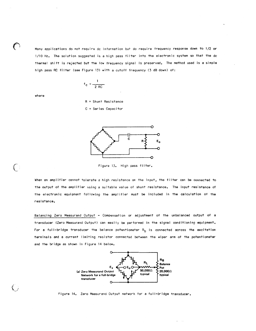Many applications do not require dc information but do require frequency response down to 1/2 or 1/10 Hz. The solution suggested is a high pass filter into the electronic system so that the dc thermal shift is rejected but the low frequency signal is preserved. The method used is a simple high pass RC filter (see Figure 13) with a cutoff frequency (3 dB down) of:

$$
f_{\rm C} = \frac{1}{2 \, \text{RC}}
$$

where

 $\bigcap$ 

 $R = Shunt$  Resistance  $C =$  Series Capacitor

![](_page_17_Figure_4.jpeg)

Figure 13. High pass filter.

When an amplifier cannot tolerate a high resistance on the input, the filter can be connected to the output of the amplifier using a suitable value of shunt resistance. The input resistance of the electronic equipment following the amplifier must be included in the calculation of the resistance.

Balancing Zero Measurand Output - Compensation or adjustment of the unbalanced output of a transducer (Zero Measurand Output) can easily be performed in the signal conditioning equipment. For a full-bridge transducer the balance potentiometer  $R_{\rm b}$  is connected across the excitation terminals and a current limiting resistor connected between the wiper arm of the potentiometer and the bridge as shown in Figure 14 below.

![](_page_17_Figure_8.jpeg)

Figure 14. Zero Measurand Output network for a full-bridge transducer.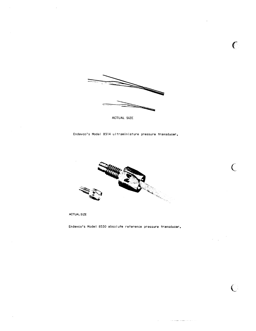![](_page_18_Figure_0.jpeg)

 $\epsilon$ 

 $\overline{C}$ 

 $\bigcirc$ 

 $\alpha$  are all all the continuous continuous  $\alpha$ 

ACTUAL SIZE

Endevco's Model 8514 ultraminiature pressure transducer.

![](_page_18_Picture_3.jpeg)

**ACTUAL SIZE** 

 $\bar{z}$ 

Endevco's Model 8530 absolute reference pressure transducer.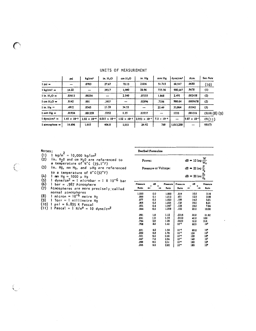|                                    | psi                   | kg/cm <sup>2</sup>    | in. $H_2O$             | cm H <sub>2</sub> O   | in. Hg                 | mm Hg                    | dyne/cm <sup>2</sup> | Atm.                  | See Note     |
|------------------------------------|-----------------------|-----------------------|------------------------|-----------------------|------------------------|--------------------------|----------------------|-----------------------|--------------|
| $1$ psi $=$                        |                       | .0703                 | 27.67                  | 70.13                 | 2.036                  | 51.715                   | 68,947               | .0680                 | (10)         |
| $1 \text{ kg/cm}^2$ =              | 14.22                 |                       | 393.7                  | 1,000                 | 28.96                  | 735.56                   | 980,665              | .9678                 | (1)          |
| $1$ in. $H_2O =$                   | .03613                | .00254                | -                      | 2.540                 | .07355                 | 1.868                    | 2,491                | .002458               | (2)          |
| $1 cm H2O =$                       | .0142                 | .001                  | .3937                  | -                     | .02896                 | .7356                    | 980.64               | .0009678              | (2)          |
| $1$ in. Hg $=$                     | .4912                 | .0345                 | 13.59                  | 34.53                 | --                     | 25.40                    | 33,864               | .03342                | (3)          |
| $1$ mm $Hg =$                      | .01934                | .001359               | .5352                  | 1.35                  | .03937                 | $\overline{\phantom{0}}$ | 1333                 | .001316               | (3)(4)(8)(9) |
| $1$ dync/cm <sup>2</sup> $\approx$ | $1.45 \times 10^{-5}$ | $1.02 \times 10^{-6}$ | $4.015 \times 10^{-4}$ | $1.02 \times 10^{-3}$ | $2.953 \times 10^{-5}$ | $7.5 \times 10^{-4}$     | --                   | $9.87 \times 10^{-1}$ | (5)(11)      |
| $i$ atmosphere $\equiv$            | 14.696                | 1.033                 | 406.8                  | 1,033                 | 29.92                  | 760                      | 1,013,250            |                       | (6)(7)       |

Decibel Formulae

Pressure or Voltage:

Power:

### UNITS OF MEASUREMENT

### Notes:

- 
- 
- Notes:<br>(1)  $1 \text{ kg/m}^2 = 10,000 \text{ kg/cm}^2$ <br>(2) in. H<sub>2</sub>0 and cm H<sub>2</sub>0 are referenced to<br>a temperature of 4°C (39.2°F)<br>(3) in. Hg, mm Hg, and µHg are referenced

- 
- 
- 
- (5) In. mg, mm ng, and  $\mu$ mg are reterenced<br>to a temperature of 0°C(32°F)<br>(4) Imm Hg = 1000  $\mu$  Hg<br>(5) I dyne/cm<sup>2</sup> = 1 microbar = 1 X 10<sup>-6</sup> bar<br>(6) I bar = .987 Atmosphere<br>(7) Atmospheres are more precisely; called<br>no
- 
- 
- 
- 

|                   |     |                   | $dB = 20 log \frac{21}{E_2}$ |      |                   |  |
|-------------------|-----|-------------------|------------------------------|------|-------------------|--|
| Pressure<br>Ratio | ďB  | Pressure<br>Ratio | Pressure<br>Ratio            | ₫₿   | Pressure<br>Ratio |  |
| 1.000             | 0.0 | 1.000             | .316                         | 10.0 | 3.16              |  |
| .988              | 0.1 | 1.012             | .251                         | 12.0 | 3.98              |  |
| .977              | 0.2 | 1.023             | .199                         | 14.0 | 5.01              |  |
| .966              | 0.3 | 1.035             | .158                         | 16.0 | 6.31              |  |
| .955              | 0.4 | 1.047             | .126                         | 18.0 | 7.94              |  |
| .944              | 0.5 | 1.059             | .100                         | 20.0 | 10.00             |  |
| .891              | 1.0 | 1.12              | .0316                        | 30.0 | 31.62             |  |
| .841              | 1.5 | 1.19              | .0100                        | 40.0 | 100               |  |
| .794              | 2.0 | 1.26              | .0032                        | 50.0 | 316               |  |
| .708              | 3.0 | 1.41              | $10^{-3}$                    | 60.0 | 103               |  |
| .631              | 4.0 | 1.58              | $10^{-4}$                    | 80.0 | 104               |  |
| .562              | 5.0 | 1.78              | 10-1                         | 100  | 10ء               |  |
| .501              | 6.0 | 2.00              | 10→                          | 120  | 104               |  |
| .447              | 7.0 | 2.24              | $10^{-7}$                    | 140  | 10'               |  |
| .398              | 8.0 | 2.51              | $10^{-1}$                    | 160  | 10°               |  |
| 355               | 9.0 | 2.82              | $10 -$                       | 180  | 10 <sup>9</sup>   |  |

 $dB = 10 log \frac{v}{W_0}$ 

 $\overline{P_{0}}$ 

 $dB = 20 log$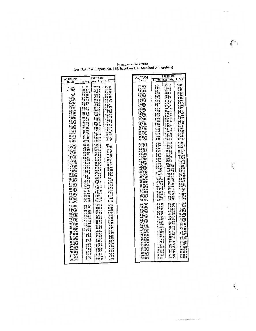| <b>ALTITUDE</b>                                                                                                                                                                                                                                              |                                                                                                                                                                                                             | <b>PRESSURE</b>                                                                                                                                                                                             |                                                                                                                                                                                                        |  |
|--------------------------------------------------------------------------------------------------------------------------------------------------------------------------------------------------------------------------------------------------------------|-------------------------------------------------------------------------------------------------------------------------------------------------------------------------------------------------------------|-------------------------------------------------------------------------------------------------------------------------------------------------------------------------------------------------------------|--------------------------------------------------------------------------------------------------------------------------------------------------------------------------------------------------------|--|
| (Feet)                                                                                                                                                                                                                                                       | Ήg.<br>In.                                                                                                                                                                                                  | ¦Mm. Hg.∤                                                                                                                                                                                                   | S.<br>P.<br>Ī.                                                                                                                                                                                         |  |
| -1,000<br>500<br>٥<br>500<br>1,000<br>1,500<br>2,000<br>2,500<br>3,000<br>3,500<br>4,000<br>4,500<br>5,000<br>5,500<br>6,000<br>6,500<br>7,000<br>7,500<br>8,000<br>8,500<br>9,000<br>9,500                                                                  | 31.02<br>30.47<br>29.921<br>29.38<br>28.86<br>28.33<br>27.82<br>27.31<br>26.81<br>26.32<br>25.84<br>25.36<br>24.89<br>24.43<br>23.98<br>23.53<br>23.09<br>22.65<br>22.22<br>21.80<br>21.38<br>20.98         | 787.9<br>773.8<br>760.0<br>746.4<br>732.9<br>719.7<br>706.6<br>693.8<br>681.1<br>668.6<br>656.3<br>644.2<br>632.3<br>620.6<br>609.0<br>597.6<br>586.4<br>575.3<br>564.4<br>553.7<br>543.2<br>532.8          | 15.25<br>4.94<br>1<br>14.70<br>14.43<br>14.18<br>13.90<br>13.67<br>13.41<br>13.19<br>12.92<br>12.70<br>12.45<br>12.23<br>12.00<br>11.77<br>11.56<br>11.34<br>11.12<br>10.90<br>10.70<br>10.50<br>10.30 |  |
| 10,000<br>10,500<br>11,000<br>11,500<br>12,000<br>12,500<br>13,000<br>13,500<br>14,000<br>14,500<br>15,000<br>15,500<br>16,000<br>16,500<br>17,000<br>17,000<br>17,500<br>18,000<br>18,000<br>18,500<br>19,000<br>00<br>19,500<br>20,000<br>20,500<br>21,000 | 20.58<br>20.18<br>19.79<br>19.40<br>19.03<br>18.65<br>18.29<br>17.93<br>17.57<br>17.22<br>16.88<br>16.54<br>16.21<br>15.89<br>15.56<br>15.25<br>14.94<br>14.63<br>14.33<br>14.04<br>13.75<br>13.46<br>13.18 | 522.6<br>512.5<br>502.6<br>492.8<br>483.3<br>473.8<br>464.5<br>455.4<br>446.4<br>437.5<br>428.8<br>420.2<br>411.8<br>403.5<br>395.3<br>387.3<br>379.4<br>371.7<br>364.0<br>356.5<br>349.1<br>341.9<br>334.7 | 10.10<br>9.91<br>9.73<br>9.53<br>9.35<br>9.15<br>8.97<br>8.81<br>8.63<br>8.46<br>8.28<br>8.13<br>7.96<br>7.81<br>7.64<br>$7.49$<br>$7.34$<br>$7.19$<br>7.04<br>6.90<br>6.75<br>6.61<br>6.48            |  |
| 21,500<br>22,000<br>22,500<br>23,000<br>500<br>23,<br>24,000<br>24,500<br>25,000<br>25,500<br>26,000<br>26,500<br>27,000<br>07,500<br>28,500<br>29,000<br>30,500<br>31,000<br>31,500<br>32,000                                                               | 12.90<br>12.63<br>12.36<br>12.10<br>11.84<br>11.59<br>11.34<br>11.10<br>10.86<br>10.62<br>10.39<br>10.16<br>9,94<br>9.72<br>9.50<br>9.29<br>9.08<br>8.88<br>8.68<br>8.48<br>8.29<br>8.10                    | 327.7<br>320.8<br>314.1<br>307.4<br>300.9<br>294.4<br>288.1<br>281.9<br>275.8<br>269.8<br>263.9<br>258.1<br>252.5<br>246.9<br>241.4<br>236.0<br>230.7<br>225.6<br>220.5<br>215.5<br>210.6<br>205.8          | 6.34<br>6.21<br>6.08<br>5.94<br>5.82<br>5.70<br>5.58<br>5.45<br>5.33<br>5.22<br>5.11<br>4.99<br>4.88<br>4.78<br>4.67<br>4.56<br>4.46<br>4.36<br>4.27<br>4.17<br>4.07<br>3.98                           |  |

## PRESSURE VS ALTITUDE (per N.A.C.A. Report No. 538; based on U.S. Standard Atmosphere)

**PRESSURE** ALTITUDE<br>(Feet) Mm. Hg. P. S. I.  $In. Hg.$ 2016年12月12日 12月22日 12月22日 12月22日 12月22日 12月22日 12月22日 12月22日 12月22日 12月22日 12月22日 12月22日 12月22日 12月22日 12月22日 12月22日 12月22日 12月22日 12月22日 12月22日 12月22日 12月22日 12月22日 32,500<br>33,500<br>33,500<br>33,500<br>35,530<br>35,530<br>35,530<br>37,500<br>37,500<br>37,500<br>37,500<br>40,000<br>41,000<br>41,000<br>41,000<br>42,000<br>44,000<br>44,000<br>39,500<br>39,500<br>39,500<br>39,500<br>40,000<br>44,000<br>44,000<br>44,000<br>44,000<br>44,000<br>44,000<br>44,000<br>44,000<br>44,00 122.0<br>119.1 110.8<br>1113.5 108.2<br>110.8 109.7<br>109.7 109.3 109.3 109.3 109.3 109.3 109.3 109.3 109.3 109.3 109.3 109.3 109.3 109.3 109.3 109.5 109.5 109.5 109.5 109.5 109.5 109.5 109.5 109.5 109.5 109.5 109.5 109.5 109.5 109.5 59,000<br>64,000,000<br>64,000 64,000<br>64,000 64,000<br>64,000 65,000<br>67,000 69,000<br>72,000 69,000<br>72,000 73,000<br>73,000<br>73,000<br>73,000<br>73,000<br>73,000<br>73,000<br>73,000

 $\mathcal{L}_{\text{max}}$ 

 $\epsilon$ 

 $\label{eq:1} \begin{aligned} \mathcal{L}_{\text{max}}(\mathbf{r}) = \mathcal{L}_{\text{max}}(\mathbf{r}) \end{aligned}$ 

 $\mathcal{N}_{\mathcal{L}}$